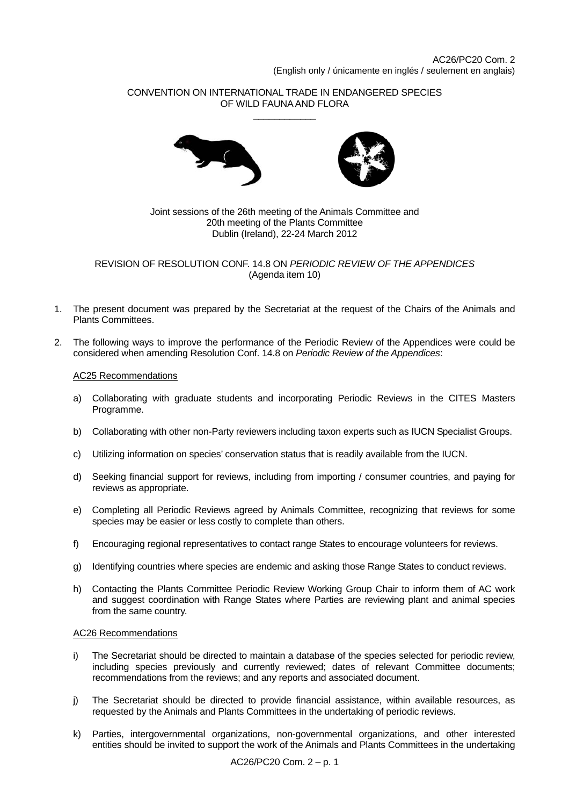# CONVENTION ON INTERNATIONAL TRADE IN ENDANGERED SPECIES OF WILD FAUNA AND FLORA \_\_\_\_\_\_\_\_\_\_\_\_





## Joint sessions of the 26th meeting of the Animals Committee and 20th meeting of the Plants Committee Dublin (Ireland), 22-24 March 2012

REVISION OF RESOLUTION CONF. 14.8 ON *PERIODIC REVIEW OF THE APPENDICES*  (Agenda item 10)

- 1. The present document was prepared by the Secretariat at the request of the Chairs of the Animals and Plants Committees.
- 2. The following ways to improve the performance of the Periodic Review of the Appendices were could be considered when amending Resolution Conf. 14.8 on *Periodic Review of the Appendices*:

# AC25 Recommendations

- a) Collaborating with graduate students and incorporating Periodic Reviews in the CITES Masters Programme.
- b) Collaborating with other non-Party reviewers including taxon experts such as IUCN Specialist Groups.
- c) Utilizing information on species' conservation status that is readily available from the IUCN.
- d) Seeking financial support for reviews, including from importing / consumer countries, and paying for reviews as appropriate.
- e) Completing all Periodic Reviews agreed by Animals Committee, recognizing that reviews for some species may be easier or less costly to complete than others.
- f) Encouraging regional representatives to contact range States to encourage volunteers for reviews.
- g) Identifying countries where species are endemic and asking those Range States to conduct reviews.
- h) Contacting the Plants Committee Periodic Review Working Group Chair to inform them of AC work and suggest coordination with Range States where Parties are reviewing plant and animal species from the same country.

### AC26 Recommendations

- i) The Secretariat should be directed to maintain a database of the species selected for periodic review, including species previously and currently reviewed; dates of relevant Committee documents; recommendations from the reviews; and any reports and associated document.
- j) The Secretariat should be directed to provide financial assistance, within available resources, as requested by the Animals and Plants Committees in the undertaking of periodic reviews.
- k) Parties, intergovernmental organizations, non-governmental organizations, and other interested entities should be invited to support the work of the Animals and Plants Committees in the undertaking